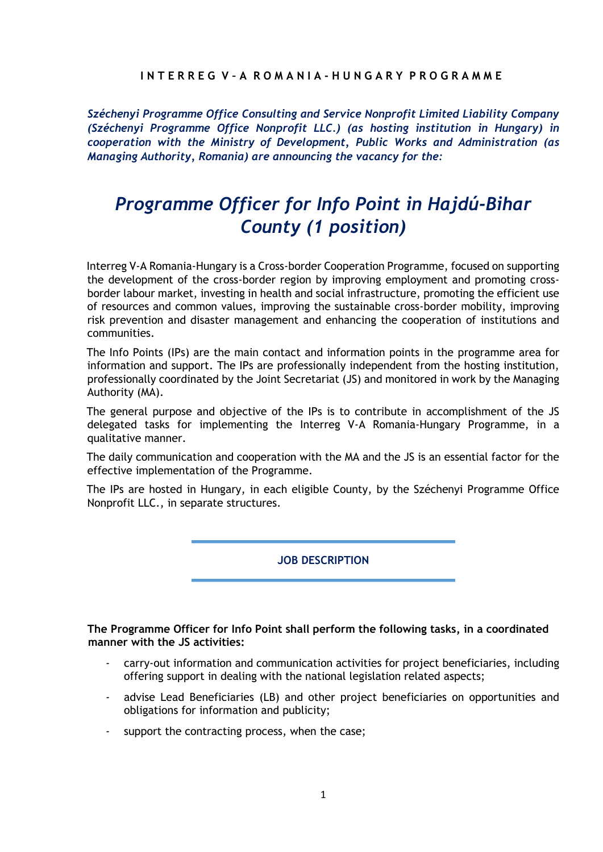# **I N T E R R E G V – A R O M A N I A - H U N G A R Y P R O G R A M M E**

*Széchenyi Programme Office Consulting and Service Nonprofit Limited Liability Company (Széchenyi Programme Office Nonprofit LLC.) (as hosting institution in Hungary) in cooperation with the Ministry of Development, Public Works and Administration (as Managing Authority, Romania) are announcing the vacancy for the:* 

# *Programme Officer for Info Point in Hajdú-Bihar County (1 position)*

Interreg V-A Romania-Hungary is a Cross-border Cooperation Programme, focused on supporting the development of the cross-border region by improving employment and promoting crossborder labour market, investing in health and social infrastructure, promoting the efficient use of resources and common values, improving the sustainable cross-border mobility, improving risk prevention and disaster management and enhancing the cooperation of institutions and communities.

The Info Points (IPs) are the main contact and information points in the programme area for information and support. The IPs are professionally independent from the hosting institution, professionally coordinated by the Joint Secretariat (JS) and monitored in work by the Managing Authority (MA).

The general purpose and objective of the IPs is to contribute in accomplishment of the JS delegated tasks for implementing the Interreg V-A Romania-Hungary Programme, in a qualitative manner.

The daily communication and cooperation with the MA and the JS is an essential factor for the effective implementation of the Programme.

The IPs are hosted in Hungary, in each eligible County, by the Széchenyi Programme Office Nonprofit LLC., in separate structures.

**JOB DESCRIPTION**

**The Programme Officer for Info Point shall perform the following tasks, in a coordinated manner with the JS activities:** 

- carry-out information and communication activities for project beneficiaries, including offering support in dealing with the national legislation related aspects;
- advise Lead Beneficiaries (LB) and other project beneficiaries on opportunities and obligations for information and publicity;
- support the contracting process, when the case;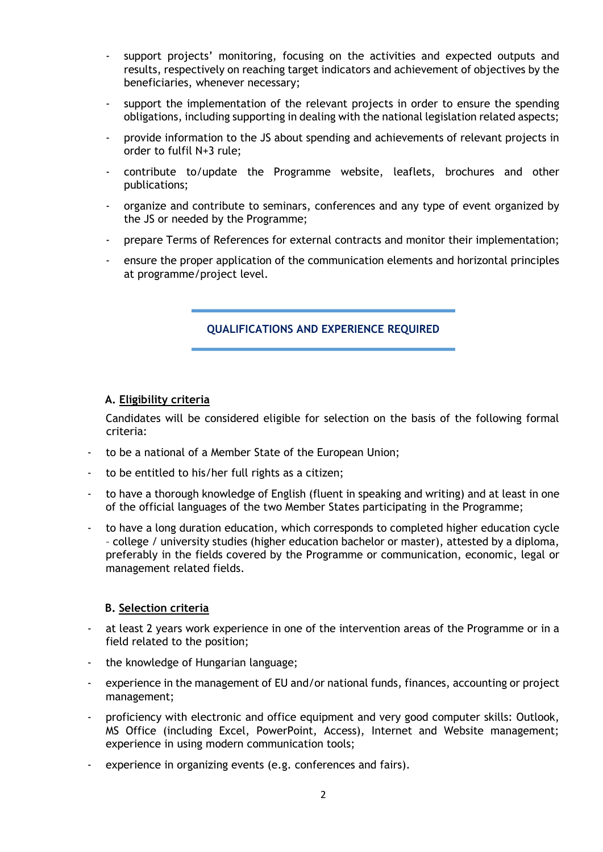- support projects' monitoring, focusing on the activities and expected outputs and results, respectively on reaching target indicators and achievement of objectives by the beneficiaries, whenever necessary;
- support the implementation of the relevant projects in order to ensure the spending obligations, including supporting in dealing with the national legislation related aspects;
- provide information to the JS about spending and achievements of relevant projects in order to fulfil N+3 rule;
- contribute to/update the Programme website, leaflets, brochures and other publications;
- organize and contribute to seminars, conferences and any type of event organized by the JS or needed by the Programme;
- prepare Terms of References for external contracts and monitor their implementation;
- ensure the proper application of the communication elements and horizontal principles at programme/project level.

# **QUALIFICATIONS AND EXPERIENCE REQUIRED**

# **A. Eligibility criteria**

Candidates will be considered eligible for selection on the basis of the following formal criteria:

- to be a national of a Member State of the European Union;
- to be entitled to his/her full rights as a citizen;
- to have a thorough knowledge of English (fluent in speaking and writing) and at least in one of the official languages of the two Member States participating in the Programme;
- to have a long duration education, which corresponds to completed higher education cycle – college / university studies (higher education bachelor or master), attested by a diploma, preferably in the fields covered by the Programme or communication, economic, legal or management related fields.

#### **B. Selection criteria**

- at least 2 years work experience in one of the intervention areas of the Programme or in a field related to the position;
- the knowledge of Hungarian language;
- experience in the management of EU and/or national funds, finances, accounting or project management;
- proficiency with electronic and office equipment and very good computer skills: Outlook, MS Office (including Excel, PowerPoint, Access), Internet and Website management; experience in using modern communication tools;
- experience in organizing events (e.g. conferences and fairs).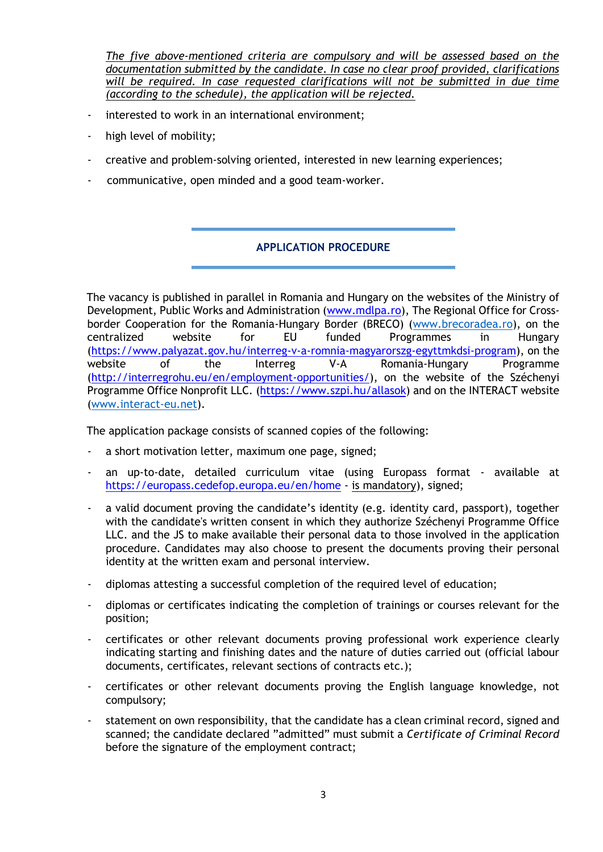*The five above-mentioned criteria are compulsory and will be assessed based on the documentation submitted by the candidate. In case no clear proof provided, clarifications will be required. In case requested clarifications will not be submitted in due time (according to the schedule), the application will be rejected.*

- interested to work in an international environment;
- high level of mobility;
- creative and problem-solving oriented, interested in new learning experiences;
- communicative, open minded and a good team-worker.

# **APPLICATION PROCEDURE**

The vacancy is published in parallel in Romania and Hungary on the websites of the Ministry of Development, Public Works and Administration [\(www.mdlpa.ro](http://www.mdlpa.ro/)[\),](http://www.mdrap.ro/) The Regional Office for Crossborder Cooperation for the Romania-Hungary Border (BRECO) [\(www.brecoradea.ro\),](http://www.brecoradea.ro/) on the centralized website for EU funded Programmes in Hungary [\(https://www.palyazat.gov.hu/interreg-v-a-romnia-magyarorszg-egyttmkdsi-program\)](https://www.palyazat.gov.hu/interreg-v-a-romnia-magyarorszg-egyttmkdsi-program), on the website of the Interreg V-A Romania-Hungary Programme [\(http://interregrohu.eu/en/employment-opportunities/\)](http://interregrohu.eu/en/employment-opportunities/), on the website of the Széchenyi Programme Office Nonprofit LLC. [\(](http://www.szpi.hu/index.php)[https://www.szpi.hu/allasok\)](https://www.szpi.hu/allasok) and on the INTERACT website [\(www.interact-eu.net\).](http://www.interact-eu.net/)

The application package consists of scanned copies of the following:

- a short motivation letter, maximum one page, signed;
- an up-to-date, detailed curriculum vitae (using Europass format available at <https://europass.cedefop.europa.eu/en/home> [-](https://europass.cedefop.europa.eu/en/home) is mandatory), signed;
- a valid document proving the candidate's identity (e.g. identity card, passport), together with the candidate's written consent in which they authorize Széchenyi Programme Office LLC. and the JS to make available their personal data to those involved in the application procedure. Candidates may also choose to present the documents proving their personal identity at the written exam and personal interview.
- diplomas attesting a successful completion of the required level of education;
- diplomas or certificates indicating the completion of trainings or courses relevant for the position;
- certificates or other relevant documents proving professional work experience clearly indicating starting and finishing dates and the nature of duties carried out (official labour documents, certificates, relevant sections of contracts etc.);
- certificates or other relevant documents proving the English language knowledge, not compulsory;
- statement on own responsibility, that the candidate has a clean criminal record, signed and scanned; the candidate declared "admitted" must submit a *Certificate of Criminal Record*  before the signature of the employment contract;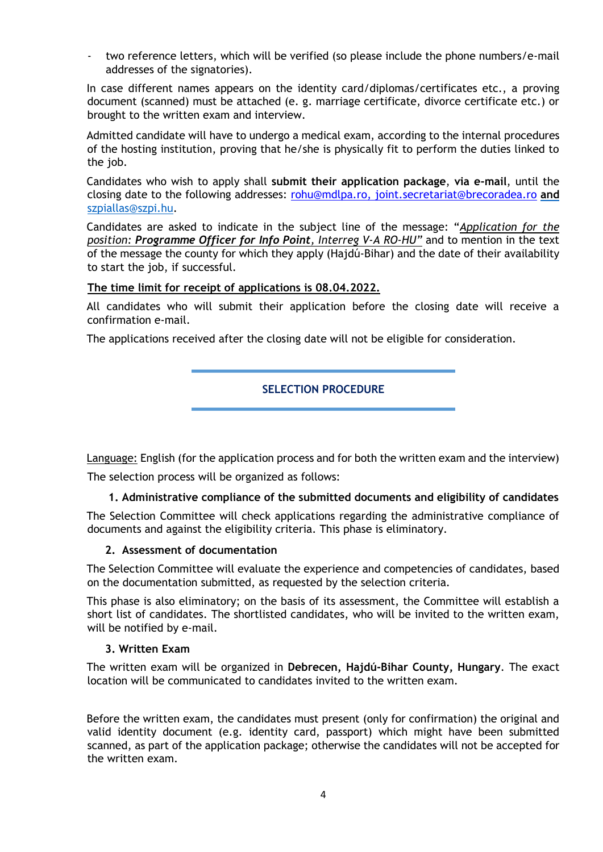two reference letters, which will be verified (so please include the phone numbers/e-mail addresses of the signatories).

In case different names appears on the identity card/diplomas/certificates etc., a proving document (scanned) must be attached (e. g. marriage certificate, divorce certificate etc.) or brought to the written exam and interview.

Admitted candidate will have to undergo a medical exam, according to the internal procedures of the hosting institution, proving that he/she is physically fit to perform the duties linked to the job.

Candidates who wish to apply shall **submit their application package**, **via e-mail**, until the closing date to the following addresses: [rohu@mdlpa.ro,](mailto:rohu@mdlpa.ro) [joint.secretariat@brecoradea.ro](mailto:joint.secretariat@brecoradea.ro) **and**  szpiallas@szpi.hu.

Candidates are asked to indicate in the subject line of the message: "*Application for the position: Programme Officer for Info Point, Interreg V-A RO-HU"* and to mention in the text of the message the county for which they apply (Hajdú-Bihar) and the date of their availability to start the job, if successful.

#### **The time limit for receipt of applications is 08.04.2022.**

All candidates who will submit their application before the closing date will receive a confirmation e-mail.

The applications received after the closing date will not be eligible for consideration.

# **SELECTION PROCEDURE**

Language: English (for the application process and for both the written exam and the interview) The selection process will be organized as follows:

#### **1. Administrative compliance of the submitted documents and eligibility of candidates**

The Selection Committee will check applications regarding the administrative compliance of documents and against the eligibility criteria. This phase is eliminatory.

#### **2. Assessment of documentation**

The Selection Committee will evaluate the experience and competencies of candidates, based on the documentation submitted, as requested by the selection criteria.

This phase is also eliminatory; on the basis of its assessment, the Committee will establish a short list of candidates. The shortlisted candidates, who will be invited to the written exam, will be notified by e-mail.

#### **3. Written Exam**

The written exam will be organized in **Debrecen, Hajdú-Bihar County, Hungary**. The exact location will be communicated to candidates invited to the written exam.

Before the written exam, the candidates must present (only for confirmation) the original and valid identity document (e.g. identity card, passport) which might have been submitted scanned, as part of the application package; otherwise the candidates will not be accepted for the written exam.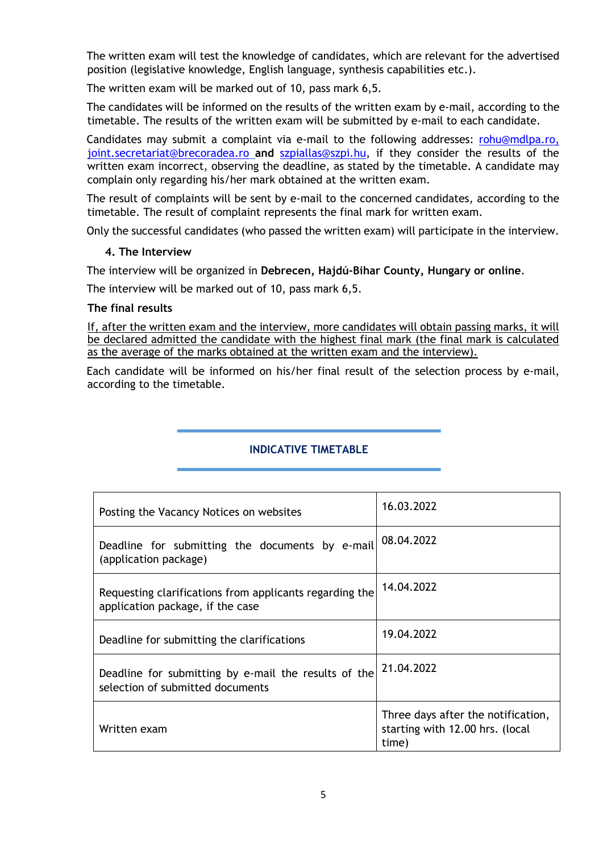The written exam will test the knowledge of candidates, which are relevant for the advertised position (legislative knowledge, English language, synthesis capabilities etc.).

The written exam will be marked out of 10, pass mark 6,5.

The candidates will be informed on the results of the written exam by e-mail, according to the timetable. The results of the written exam will be submitted by e-mail to each candidate.

Candidates may submit a complaint via e-mail to the following addresses: [rohu@mdlpa.ro,](mailto:rohu@mdlpa.ro) [joint.secretariat@brecoradea.ro](mailto:joint.secretariat@brecoradea.ro) **and** [szpiallas@szpi.hu,](mailto:szpiallas@szpi.hu) if they consider the results of the written exam incorrect, observing the deadline, as stated by the timetable. A candidate may complain only regarding his/her mark obtained at the written exam.

The result of complaints will be sent by e-mail to the concerned candidates, according to the timetable. The result of complaint represents the final mark for written exam.

Only the successful candidates (who passed the written exam) will participate in the interview.

#### **4. The Interview**

The interview will be organized in **Debrecen, Hajdú-Bihar County, Hungary or online**.

The interview will be marked out of 10, pass mark 6,5.

#### **The final results**

If, after the written exam and the interview, more candidates will obtain passing marks, it will be declared admitted the candidate with the highest final mark (the final mark is calculated as the average of the marks obtained at the written exam and the interview).

Each candidate will be informed on his/her final result of the selection process by e-mail, according to the timetable.

# **INDICATIVE TIMETABLE**

| Posting the Vacancy Notices on websites                                                     | 16.03.2022                                                                     |
|---------------------------------------------------------------------------------------------|--------------------------------------------------------------------------------|
| Deadline for submitting the documents by e-mail<br>(application package)                    | 08.04.2022                                                                     |
| Requesting clarifications from applicants regarding the<br>application package, if the case | 14.04.2022                                                                     |
| Deadline for submitting the clarifications                                                  | 19.04.2022                                                                     |
| Deadline for submitting by e-mail the results of the<br>selection of submitted documents    | 21.04.2022                                                                     |
| Written exam                                                                                | Three days after the notification,<br>starting with 12.00 hrs. (local<br>time) |